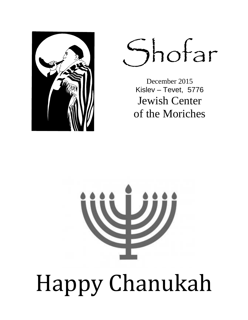

Shofar

December 2015 Kislev – Tevet, 5776 Jewish Center of the Moriches

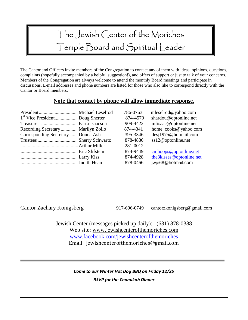# The Jewish Center of the Moriches Temple Board and Spiritual Leader

The Cantor and Officers invite members of the Congregation to contact any of them with ideas, opinions, questions, complaints (hopefully accompanied by a helpful suggestion!), and offers of support or just to talk of your concerns. Members of the Congregation are always welcome to attend the monthly Board meetings and participate in discussions. E-mail addresses and phone numbers are listed for those who also like to correspond directly with the Cantor or Board members.

### **Note that contact by phone will allow immediate response.**

|                                   | 786-0763 | mleselrod@yahoo.com      |
|-----------------------------------|----------|--------------------------|
|                                   | 874-4570 | shardou@optonline.net    |
| Treasurer  Farra Isaacson         | 909-4422 | mfisaac@optonline.net    |
| Recording Secretary Marilyn Zoilo | 874-4341 | home_cooks@yahoo.com     |
| Corresponding Secretary Donna Ash | 395-3346 | desj1975@hotmail.com     |
|                                   | 878-4880 | ss12@optonline.net       |
|                                   | 281-0012 |                          |
|                                   | 874-9449 | $cmhoops@$ optonline.net |
|                                   | 874-4928 | the3kisses@optonline.net |
|                                   | 878-0466 | jwje68@hotmail.com       |
|                                   |          |                          |

Cantor Zachary Konigsberg 917-696-0749 cantorzkonigsberg@gmail.com

Jewish Center (messages picked up daily): (631) 878-0388 Web site: www.jewishcenterofthemoriches.com www.facebook.com/jewishcenterofthemoriches Email: jewishcenterofthemoriches@gmail.com

> *Come to our Winter Hot Dog BBQ on Friday 12/25 RSVP for the Chanukah Dinner*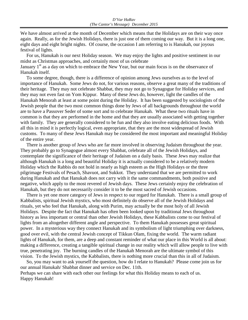We have almost arrived at the month of December which means that the Holidays are on their way once again. Really, as for the Jewish Holidays, there is just one of them coming our way. But it is a long one, eight days and eight bright nights. Of course, the occasion I am referring to is Hanukah, our joyous festival of lights.

 For us, Hanukah is our next Holiday season. We may enjoy the lights and positive sentiment in our midst as Christmas approaches, and certainly most of us celebrate

January  $1<sup>st</sup>$  as a day on which to embrace the New Year, but our main focus is on the observance of Hanukah itself.

 To some degree, though, there is a difference of opinion among Jews ourselves as to the level of importance of Hanukah. Some Jews do not, for various reasons, observe a great many of the traditions of their heritage. They may not celebrate Shabbat, they may not go to Synagogue for Holiday services, and they may not even fast on Yom Kippur. Many of these Jews do, however, light the candles of the Hanukah Menorah at least at some point during the Holiday. It has been suggested by sociologists of the Jewish people that the two most common things done by Jews of all backgrounds throughout the world are to have a Passover Seder of some sort and to celebrate Hanukah. What these two rituals have in common is that they are performed in the home and that they are usually associated with getting together with family. They are generally considered to be fun and they also involve eating delicious foods. With all this in mind it is perfectly logical, even appropriate, that they are the most widespread of Jewish customs. To many of these Jews Hanukah may be considered the most important and meaningful Holiday of the entire year.

 There is another group of Jews who are far more involved in observing Judaism throughout the year. They probably go to Synagogue almost every Shabbat, celebrate all of the Jewish Holidays, and contemplate the significance of their heritage of Judaism on a daily basis. These Jews may realize that although Hanukah is a long and beautiful Holiday it is actually considered to be a relatively modern Holiday which the Rabbis do not hold in nearly as high esteem as the High Holidays or the three pilgrimage Festivals of Pesach, Shavuot, and Sukkot. They understand that we are permitted to work during Hanukah and that Hanukah does not carry with it the same commandments, both positive and negative, which apply to the most revered of Jewish days. These Jews certainly enjoy the celebration of Hanukah, but they do not necessarily consider it to be the most sacred of Jewish occasions.

 There is yet one more category of Jews in respect to our regard for Hanukah. There is a small group of Kabbalists, spiritual Jewish mystics, who most definitely do observe all of the Jewish Holidays and rituals, yet who feel that Hanukah, along with Purim, may actually be the most holy of all Jewish Holidays. Despite the fact that Hanukah has often been looked upon by traditional Jews throughout history as less important or central than other Jewish Holidays, these Kabbalists come to our festival of lights from an altogether different angle and perspective. To them Hanukah possesses great spiritual power. In a mysterious way they connect Hanukah and its symbolism of light triumphing over darkness, good over evil, with the central Jewish concept of Tikkun Olam, fixing the world. The warm radiant lights of Hanukah, for them, are a deep and constant reminder of what our place in this World is all about: making a difference, creating a tangible spiritual change in our reality which will allow people to live with true, penetrating joy. The burning candles of the Hanukah Menorah are the ultimate symbol of this vision. To the Jewish mystics, the Kabbalists, there is nothing more crucial than this in all of Judaism.

 So, you may want to ask yourself the question, how do I relate to Hanukah? Please come join us for our annual Hanukah/ Shabbat dinner and service on Dec. 11th. Perhaps we can share with each other our feelings for what this Holiday means to each of us. Happy Hanukah!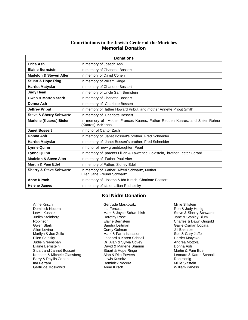#### **Contributions to the Jewish Center of the Moriches Memorial Donation**

| <b>Donations</b>                   |                                                                                                |  |  |  |
|------------------------------------|------------------------------------------------------------------------------------------------|--|--|--|
| Erica Ash                          | In memory of Joseph Ash                                                                        |  |  |  |
| <b>Elaine Bernstein</b>            | In memory of Charlotte Bossert                                                                 |  |  |  |
| <b>Madelon &amp; Steven Alter</b>  | In memory of David Cohen                                                                       |  |  |  |
| <b>Stuart &amp; Hope Ring</b>      | In memory of Wiliam Ringe                                                                      |  |  |  |
| <b>Harriet Matysko</b>             | In memory of Charlotte Bossert                                                                 |  |  |  |
| <b>Judy Hean</b>                   | In memory of Uncle Sam Bernstein                                                               |  |  |  |
| <b>Gwen &amp; Morton Stark</b>     | In memory of Charlotte Bossert                                                                 |  |  |  |
| Donna Ash                          | In memory of Charlotte Bossert                                                                 |  |  |  |
| <b>Jeffrey Pribut</b>              | In memory of father Howard Pribut, and mother Annette Pribut Smith                             |  |  |  |
| <b>Steve &amp; Sherry Schwartz</b> | In memory of Charlotte Bossert                                                                 |  |  |  |
| <b>Marlene (Kuares) Bieler</b>     | In memory of Mother Frances Kuares, Father Reuben Kuares, and Sister Rohna<br>(Kuares) McKenna |  |  |  |
| <b>Janet Bossert</b>               | In honor of Cantor Zach                                                                        |  |  |  |
| Donna Ash                          | In memory of Janet Bossert's brother, Fred Schneider                                           |  |  |  |
| <b>Harriet Matysko</b>             | In memory of Janet Bossert's brother, Fred Schneider                                           |  |  |  |
| <b>Lynne Quinn</b>                 | In honor of new granddaughter, Pearl                                                           |  |  |  |
| <b>Lynne Quinn</b>                 | In memory of parents Lillian & Lawrence Goldstein, brother Lester Gerard                       |  |  |  |
| <b>Madelon &amp; Steve Alter</b>   | In memory of Father Paul Alter                                                                 |  |  |  |
| <b>Martin &amp; Pam Edel</b>       | In memory of Father, Sidney Edel                                                               |  |  |  |
| <b>Sherry &amp; Steve Schwartz</b> | In memory of Father, Alfred Schwartz, Mother<br>Ellen Jane Freund Schwartz                     |  |  |  |
| <b>Anne Kirsch</b>                 | In memory of Joseph & Ida Kirsch, Charlotte Bossert                                            |  |  |  |
| <b>Helene James</b>                | In memory of sister Lillian Rudnelsky                                                          |  |  |  |

#### **Kol Nidre Donation**

Anne Kirsch Gertrude Moskowitz Millie Slifstein<br>Dominick Nocera Communication of the Ferrara Communication of the Suite Slifstein Dominick Nocera **Ina Ferrara** Ina Ferrara **Ina Ferrara** Ron & Judy Honig<br>
Lewis Kusnitz **Ina Roman Mark & Joyce Schweibish** Steve & Sherry Schwartz Lewis Kusnitz **Mark & Joyce Schweibish**<br>
Judith Steinberg **Mark Schwartz Schwartz** Dorothy Rose Robinson The Charles & Dawn Gingold<br>Gwen Stark Charles & Dawn Gingold<br>Gwen Stark Charles Carles Sandra Leitman Charles Cavle Osman Lopata Gwen Stark Sandra Leitman Gayle Osman Lopata Allen Levine Corey Gelman Jill Bastable Ellen Shinsky Leonard & Karen Schnall Harriet Matysko (Ellen Shinsky Leonard & Karen Schnall Harriet Matysko C<br>Judie Greenspan Mattola (Ellen Andrea Mottola Dr. Alan & Sylvia Covey Christian Andrea Mottola Elaine Bernstein David & Marlene Sharinn Donna Ash Stuart and Jannet Bossert **Stuart & Hope Ringe** Martin & Pam Edel<br>Stuart and Jannet Bossert Martin & Rita Powers Martin & Martin & Martin Stuart Stuart Stuart 3 Kenneth & Michele Glassberg **Alan & Rita Powers** Leonard & Karen Schnall Barry & Phyllis Cohen **Lewis Kusnitz** Lewis Kusnitz Communist Ron Honig<br>Lewis Kusnitz Ron Honig Lewis Kusnitz Communist Nocera Ron Millie Slifstein Gertrude Moskowitz

Dorothy Rose Jane & Stanley Blum<br>Flaine Bernstein<br>Charles & Dawn Ging Mark & Farra Isaacson Dr. Alan & Sylvia Covey **Dominick Nocera** Millie Slifstein<br>
Anne Kirsch Milliam Paness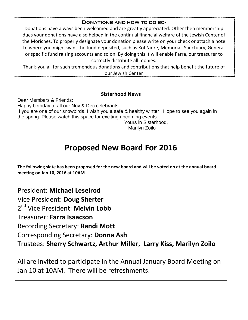#### **Donations and how to do so-**

Donations have always been welcomed and are greatly appreciated. Other then membership dues your donations have also helped in the continual financial welfare of the Jewish Center of the Moriches. To properly designate your donation please write on your check or attach a note to where you might want the fund deposited, such as Kol Nidre, Memorial, Sanctuary, General or specific fund raising accounts and so on. By doing this it will enable Farra, our treasurer to correctly distribute all monies.

Thank-you all for such tremendous donations and contributions that help benefit the future of our Jewish Center

#### **Sisterhood News**

Dear Members & Friends; Happy birthday to all our Nov & Dec celebrants. If you are one of our snowbirds, I wish you a safe & healthy winter . Hope to see you again in the spring. Please watch this space for exciting upcoming events. Yours in Sisterhood,

Marilyn Zoilo

## **Proposed New Board For 2016**

**The following slate has been proposed for the new board and will be voted on at the annual board meeting on Jan 10, 2016 at 10AM** 

President: **Michael Leselrod**

Vice President: **Doug Sherter**

2<sup>nd</sup> Vice President: Melvin Lobb

Treasurer: **Farra Isaacson**

Recording Secretary: **Randi Mott**

Corresponding Secretary: **Donna Ash**

Trustees: **Sherry Schwartz, Arthur Miller, Larry Kiss, Marilyn Zoilo**

All are invited to participate in the Annual January Board Meeting on Jan 10 at 10AM. There will be refreshments.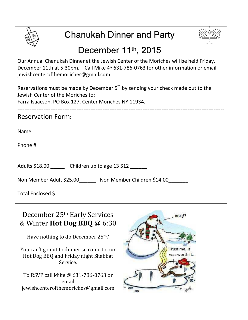

# Chanukah Dinner and Party



# December 11<sup>th</sup>, 2015

Our Annual Chanukah Dinner at the Jewish Center of the Moriches will be held Friday, December 11th at 5:30pm. Call Mike @ 631-786-0763 for other information or email jewishcenterofthemoriches@gmail.com

Reservations must be made by December  $5<sup>th</sup>$  by sending your check made out to the Jewish Center of the Moriches to:

Farra Isaacson, PO Box 127, Center Moriches NY 11934.

| <b>Reservation Form:</b>                             |
|------------------------------------------------------|
|                                                      |
|                                                      |
| Adults \$18.00 Children up to age 13 \$12            |
| Non Member Adult \$25.00 Non Member Children \$14.00 |
| Total Enclosed \$                                    |

December 25th Early Services & Winter **Hot Dog BBQ** @ 6:30

Have nothing to do December 25th?

You can't go out to dinner so come to our Hot Dog BBQ and Friday night Shabbat Service.

To RSVP call Mike @ 631-786-0763 or email jewishcenterofthemoriches@gmail.com

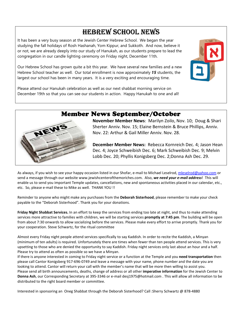### HEBREW SCHOOL NEWS

It has been a very busy season at the Jewish Center Hebrew School. We began the year studying the fall holidays of Rosh Hashanah, Yom Kippur, and Sukkoth. And now, believe it or not, we are already deeply into our study of Hanukah, as our students prepare to lead the congregation in our candle lighting ceremony on Friday night, December 11th.

Our Hebrew School has grown quite a bit this year. We have several new families and a new Hebrew School teacher as well. Our total enrollment is now approximately *15* students, the largest our school has been in many years. It is a very exciting and encouraging time.



Please attend our Hanukah celebration as well as our next shabbat morning service on December 19th so that you can see our students in action. Happy Hanukah to one and all!

### Member News September/October



**December Member News:** Rebecca Kornreich Dec. 4; Jason Hean Dec. 4; Joyce Schweibish Dec. 6; Mark Schweibish Dec. 9; Melvin Lobb Dec. 20; Phyllis Konigsberg Dec. 2;Donna Ash Dec. 29.

As always, if you wish to see your happy occasion listed in our Shofar, e-mail to Michael Leselrod, mleselrod@yahoo.com or send a message through our website www.jewishcenterofthemoriches.com. Also, *we need your e-mail address*! This will enable us to send you important Temple updates, cancellations, new and spontaneous activities placed in our calendar, etc., etc. So, please e-mail these to Mike as well. THANK YOU !!

Reminder to anyone who might make any purchases from the **Deborah Sisterhood**, please remember to make your check payable to the "Deborah Sisterhood". Thank you for your donations.

**Friday Night Shabbat Services.** In an effort to keep the services from ending too late at night, and thus to make attending services more attractive to families with children, we will be starting services **promptly at 7:45 pm**. The building will be open from about 7:30 onwards to allow socializing before the services. Please make every effort to arrive promptly. Thank you for your cooperation. Steve Schwartz, for the ritual committee

Almost every Friday night people attend services specifically to say Kaddish. In order to recite the Kaddish, a Minyan (minimum of ten adults) is required. Unfortunately there are times when fewer than ten people attend services. This is very upsetting to those who are denied the opportunity to say Kaddish. Friday night services only last about an hour and a half. Please try to attend as often as possible so we have a Minyan.

If there is anyone interested in coming to Friday night service or a function at the Temple and you **need transportation** then please call Cantor Konigsberg 917-696-0749 and leave a message with your name, phone number and the date you are looking to attend. Cantor will return your call with the member's name that will be more then willing to assist you. Please send all birth announcements, deaths, change of address or all other **imperative information** for the Jewish Center to **Donna Ash**, our Corresponding Secretary at 395-3346 or e-mail desj1975@hotmail.com . This will allow all information to be distributed to the right board member or committee.

Interested in sponsoring an Oneg Shabbat through the Deborah Sisterhood? Call :Sherry Schwartz @ 878-4880

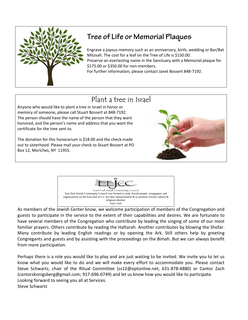

## **Tree of Life or Memorial Plaques**

Engrave a joyous memory such as an anniversary, birth, wedding or Bar/Bat Mitzvah. The cost for a leaf on the Tree of Life is \$150.00.

Preserve an everlasting name in the Sanctuary with a Memorial plaque for \$175.00 or \$350.00 for non-members.

For further information, please contact Janet Bossert 848-7192.

## Plant a tree in Israel

I

Anyone who would like to plant a tree in Israel in honor or memory of someone, please call Stuart Bossert at 848-7192. The person should have the name of the person that they want honored, and the person's name and address that you want the certificate for the tree sent to.

The donation for this honorarium is \$18.00 and the check made out to sisterhood. Please mail your check to Stuart Bossert at PO Box 12, Moriches, NY 11955.





I

As members of the Jewish Center know, we welcome participation of members of the Congregation and guests to participate in the service to the extent of their capabilities and desires. We are fortunate to have several members of the Congregation who contribute by leading the singing of some of our most familiar prayers. Others contribute by reading the Haftarah. Another contributes by blowing the Shofar. Many contribute by leading English readings or by opening the Ark. Still others help by greeting Congregants and guests and by assisting with the proceedings on the Bimah. But we can always benefit from more participation.

Perhaps there is a role you would like to play and are just waiting to be invited. We invite you to let us know what you would like to do and we will make every effort to accommodate you. Please contact Steve Schwartz, chair of the Ritual Committee (ss12@optonline.net; 631-878-4880) or Cantor Zach (cantorzkonigsberg@gmail.com; 917-696-0749) and let us know how you would like to participate. Looking forward to seeing you all at Services. Steve Schwartz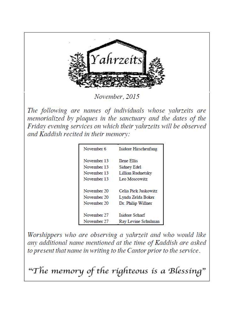

November, 2015

The following are names of individuals whose vahrzeits are memorialized by plaques in the sanctuary and the dates of the Friday evening services on which their yahrzeits will be observed and Kaddish recited in their memory:

| November 6  | Isidore Hirschenfang |
|-------------|----------------------|
| November 13 | <b>Ilene</b> Ellis   |
| November 13 | Sidney Edel          |
| November 13 | Lillian Rudnetsky    |
| November 13 | Leo Moscowitz        |
| November 20 | Celia Pick Juskowitz |
| November 20 | Lynda Zelda Boker    |
| November 20 | Dr. Philip Willner   |
| November 27 | Isidore Scharf       |
| November 27 | Ray Levine Schulman  |

Worshippers who are observing a yahrzeit and who would like any additional name mentioned at the time of Kaddish are asked to present that name in writing to the Cantor prior to the service.

"The memory of the righteous is a Blessing"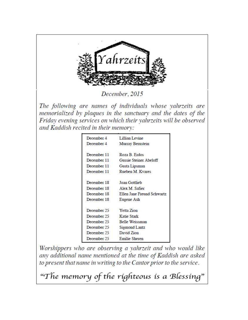

December, 2015

The following are names of individuals whose vahrzeits are memorialized by plaques in the sanctuary and the dates of the Friday evening services on which their yahrzeits will be observed and Kaddish recited in their memory:

| December 4  | Lillian Levine             |
|-------------|----------------------------|
| December 4  | Murray Bernstein           |
| December 11 | Roza B. Erdos              |
| December 11 | Gussie Steiner Abeloff     |
| December 11 | Gusta Lipsman              |
| December 11 | Rueben M. Kvares           |
| December 18 | Joan Gottlieb              |
| December 18 | Alex M. Safier             |
| December 18 | Ellen Jane Freund Schwartz |
| December 18 | Eugene Ash                 |
| December 25 | Yetta Zion                 |
| December 25 | Katie Stark                |
| December 25 | Belle Weissman             |
| December 25 | Sigmond Lantz              |
| December 25 | David Zion                 |
| December 25 | Emilie Sheren              |
|             |                            |

Worshippers who are observing a yahrzeit and who would like any additional name mentioned at the time of Kaddish are asked to present that name in writing to the Cantor prior to the service.

"The memory of the righteous is a Blessing"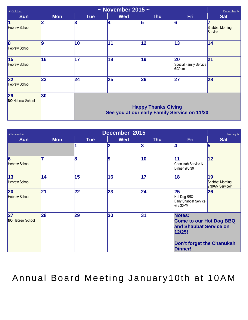| ~ November 2015 ~<br>◀ October<br>December ▶    |            |            |                                                                            |            |                                                    |                                   |  |
|-------------------------------------------------|------------|------------|----------------------------------------------------------------------------|------------|----------------------------------------------------|-----------------------------------|--|
| <b>Sun</b>                                      | <b>Mon</b> | <b>Tue</b> | <b>Wed</b>                                                                 | <b>Thu</b> | <b>Fri</b>                                         | <b>Sat</b>                        |  |
| 1<br><b>Hebrew School</b>                       | 2          |            | 14                                                                         | 5          | 16                                                 | <b>Shabbat Morning</b><br>Service |  |
| $\overline{\mathbf{8}}$<br><b>Hebrew School</b> | 9          | 10         | 11                                                                         | 12         | 13                                                 | 14                                |  |
| 15<br><b>Hebrew School</b>                      | 16         | 17         | 18                                                                         | 19         | 20<br>Special Family Service<br>6:30 <sub>pm</sub> | 21                                |  |
| 22<br><b>Hebrew School</b>                      | 23         | 24         | 25                                                                         | 26         | 27                                                 | 28                                |  |
| 29<br><b>NO Hebrew School</b>                   | 30         |            | <b>Happy Thanks Giving</b><br>See you at our early Family Service on 11/20 |            |                                                    |                                   |  |

| December 2015<br>◀ November<br>January $\blacktriangleright$ |            |            |            |            |                                                                                                                             |                                                 |
|--------------------------------------------------------------|------------|------------|------------|------------|-----------------------------------------------------------------------------------------------------------------------------|-------------------------------------------------|
| <b>Sun</b>                                                   | <b>Mon</b> | <b>Tue</b> | <b>Wed</b> | <b>Thu</b> | <b>Fri</b>                                                                                                                  | <b>Sat</b>                                      |
|                                                              |            |            | 2          | 3          | 4                                                                                                                           | 5                                               |
| $\overline{6}$<br><b>Hebrew School</b>                       |            | 8          | 19         | 10         | 11<br>Chanukah Service &<br>Dinner @5:30                                                                                    | 12                                              |
| $\overline{13}$<br><b>Hebrew School</b>                      | 14         | 15         | 16         | 17         | 18                                                                                                                          | 19<br><b>Shabbat Morning</b><br>9:30AM ServiceP |
| <b>20</b><br><b>Hebrew School</b>                            | 21         | 22         | 23         | 24         | 25<br>Hot Dog BBQ<br>Early Shabbat Service<br>$ @6:30$ PM                                                                   | 26                                              |
| 27<br><b>NO Hebrew School</b>                                | 28         | 29         | 30         | 31         | Notes:<br><b>Come to our Hot Dog BBQ</b><br>and Shabbat Service on<br>12/25!<br>Don't forget the Chanukah<br><b>Dinner!</b> |                                                 |

Annual Board Meeting January10th at 10AM